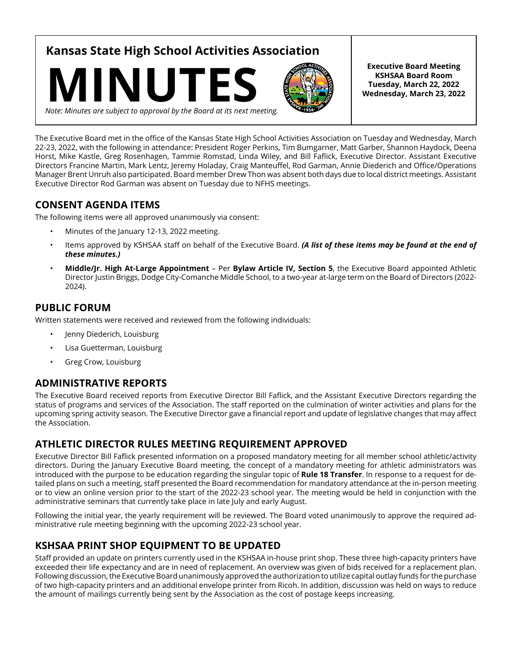**Kansas State High School Activities Association**





**Executive Board Meeting KSHSAA Board Room Tuesday, March 22, 2022 Wednesday, March 23, 2022**

*Note: Minutes are subject to approval by the Board at its next meeting.*

The Executive Board met in the office of the Kansas State High School Activities Association on Tuesday and Wednesday, March 22-23, 2022, with the following in attendance: President Roger Perkins, Tim Bumgarner, Matt Garber, Shannon Haydock, Deena Horst, Mike Kastle, Greg Rosenhagen, Tammie Romstad, Linda Wiley, and Bill Faflick, Executive Director. Assistant Executive Directors Francine Martin, Mark Lentz, Jeremy Holaday, Craig Manteuffel, Rod Garman, Annie Diederich and Office/Operations Manager Brent Unruh also participated. Board member Drew Thon was absent both days due to local district meetings. Assistant Executive Director Rod Garman was absent on Tuesday due to NFHS meetings.

# **CONSENT AGENDA ITEMS**

The following items were all approved unanimously via consent:

- Minutes of the January 12-13, 2022 meeting.
- Items approved by KSHSAA staff on behalf of the Executive Board. *(A list of these items may be found at the end of these minutes.)*
- **Middle/Jr. High At-Large Appointment**  Per **Bylaw Article IV, Section 5**, the Executive Board appointed Athletic Director Justin Briggs, Dodge City-Comanche Middle School, to a two-year at-large term on the Board of Directors (2022- 2024).

## **PUBLIC FORUM**

Written statements were received and reviewed from the following individuals:

- Jenny Diederich, Louisburg
- Lisa Guetterman, Louisburg
- Greg Crow, Louisburg

## **ADMINISTRATIVE REPORTS**

The Executive Board received reports from Executive Director Bill Faflick, and the Assistant Executive Directors regarding the status of programs and services of the Association. The staff reported on the culmination of winter activities and plans for the upcoming spring activity season. The Executive Director gave a financial report and update of legislative changes that may affect the Association.

## **ATHLETIC DIRECTOR RULES MEETING REQUIREMENT APPROVED**

Executive Director Bill Faflick presented information on a proposed mandatory meeting for all member school athletic/activity directors. During the January Executive Board meeting, the concept of a mandatory meeting for athletic administrators was introduced with the purpose to be education regarding the singular topic of **Rule 18 Transfer**. In response to a request for detailed plans on such a meeting, staff presented the Board recommendation for mandatory attendance at the in-person meeting or to view an online version prior to the start of the 2022-23 school year. The meeting would be held in conjunction with the administrative seminars that currently take place in late July and early August.

Following the initial year, the yearly requirement will be reviewed. The Board voted unanimously to approve the required administrative rule meeting beginning with the upcoming 2022-23 school year.

# **KSHSAA PRINT SHOP EQUIPMENT TO BE UPDATED**

Staff provided an update on printers currently used in the KSHSAA in-house print shop. These three high-capacity printers have exceeded their life expectancy and are in need of replacement. An overview was given of bids received for a replacement plan. Following discussion, the Executive Board unanimously approved the authorization to utilize capital outlay funds for the purchase of two high-capacity printers and an additional envelope printer from Ricoh. In addition, discussion was held on ways to reduce the amount of mailings currently being sent by the Association as the cost of postage keeps increasing.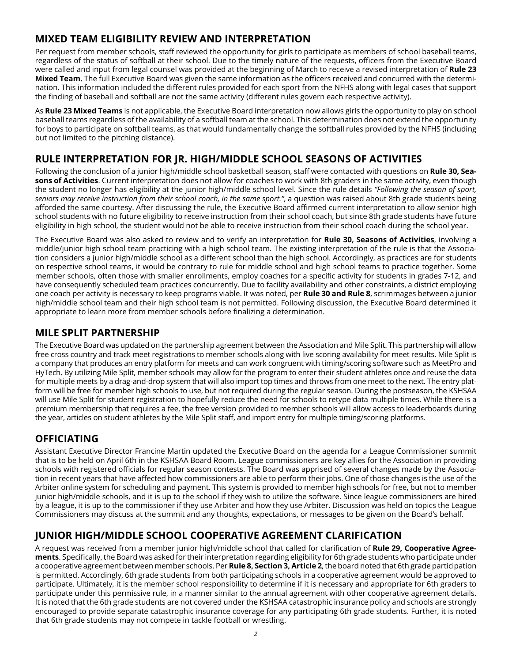# **MIXED TEAM ELIGIBILITY REVIEW AND INTERPRETATION**

Per request from member schools, staff reviewed the opportunity for girls to participate as members of school baseball teams, regardless of the status of softball at their school. Due to the timely nature of the requests, officers from the Executive Board were called and input from legal counsel was provided at the beginning of March to receive a revised interpretation of **Rule 23 Mixed Team**. The full Executive Board was given the same information as the officers received and concurred with the determination. This information included the different rules provided for each sport from the NFHS along with legal cases that support the finding of baseball and softball are not the same activity (different rules govern each respective activity).

As **Rule 23 Mixed Teams** is not applicable, the Executive Board interpretation now allows girls the opportunity to play on school baseball teams regardless of the availability of a softball team at the school. This determination does not extend the opportunity for boys to participate on softball teams, as that would fundamentally change the softball rules provided by the NFHS (including but not limited to the pitching distance).

# **RULE INTERPRETATION FOR JR. HIGH/MIDDLE SCHOOL SEASONS OF ACTIVITIES**

Following the conclusion of a junior high/middle school basketball season, staff were contacted with questions on **Rule 30, Seasons of Activities**. Current interpretation does not allow for coaches to work with 8th graders in the same activity, even though the student no longer has eligibility at the junior high/middle school level. Since the rule details *"Following the season of sport, seniors may receive instruction from their school coach, in the same sport."*, a question was raised about 8th grade students being afforded the same courtesy. After discussing the rule, the Executive Board affirmed current interpretation to allow senior high school students with no future eligibility to receive instruction from their school coach, but since 8th grade students have future eligibility in high school, the student would not be able to receive instruction from their school coach during the school year.

The Executive Board was also asked to review and to verify an interpretation for **Rule 30, Seasons of Activities**, involving a middle/junior high school team practicing with a high school team. The existing interpretation of the rule is that the Association considers a junior high/middle school as a different school than the high school. Accordingly, as practices are for students on respective school teams, it would be contrary to rule for middle school and high school teams to practice together. Some member schools, often those with smaller enrollments, employ coaches for a specific activity for students in grades 7-12, and have consequently scheduled team practices concurrently. Due to facility availability and other constraints, a district employing one coach per activity is necessary to keep programs viable. It was noted, per **Rule 30 and Rule 8**, scrimmages between a junior high/middle school team and their high school team is not permitted. Following discussion, the Executive Board determined it appropriate to learn more from member schools before finalizing a determination.

## **MILE SPLIT PARTNERSHIP**

The Executive Board was updated on the partnership agreement between the Association and Mile Split. This partnership will allow free cross country and track meet registrations to member schools along with live scoring availability for meet results. Mile Split is a company that produces an entry platform for meets and can work congruent with timing/scoring software such as MeetPro and HyTech. By utilizing Mile Split, member schools may allow for the program to enter their student athletes once and reuse the data for multiple meets by a drag-and-drop system that will also import top times and throws from one meet to the next. The entry platform will be free for member high schools to use, but not required during the regular season. During the postseason, the KSHSAA will use Mile Split for student registration to hopefully reduce the need for schools to retype data multiple times. While there is a premium membership that requires a fee, the free version provided to member schools will allow access to leaderboards during the year, articles on student athletes by the Mile Split staff, and import entry for multiple timing/scoring platforms.

## **OFFICIATING**

Assistant Executive Director Francine Martin updated the Executive Board on the agenda for a League Commissioner summit that is to be held on April 6th in the KSHSAA Board Room. League commissioners are key allies for the Association in providing schools with registered officials for regular season contests. The Board was apprised of several changes made by the Association in recent years that have affected how commissioners are able to perform their jobs. One of those changes is the use of the Arbiter online system for scheduling and payment. This system is provided to member high schools for free, but not to member junior high/middle schools, and it is up to the school if they wish to utilize the software. Since league commissioners are hired by a league, it is up to the commissioner if they use Arbiter and how they use Arbiter. Discussion was held on topics the League Commissioners may discuss at the summit and any thoughts, expectations, or messages to be given on the Board's behalf.

# **JUNIOR HIGH/MIDDLE SCHOOL COOPERATIVE AGREEMENT CLARIFICATION**

A request was received from a member junior high/middle school that called for clarification of **Rule 29, Cooperative Agreements**. Specifically, the Board was asked for their interpretation regarding eligibility for 6th grade students who participate under a cooperative agreement between member schools. Per **Rule 8, Section 3, Article 2**, the board noted that 6th grade participation is permitted. Accordingly, 6th grade students from both participating schools in a cooperative agreement would be approved to participate. Ultimately, it is the member school responsibility to determine if it is necessary and appropriate for 6th graders to participate under this permissive rule, in a manner similar to the annual agreement with other cooperative agreement details. It is noted that the 6th grade students are not covered under the KSHSAA catastrophic insurance policy and schools are strongly encouraged to provide separate catastrophic insurance coverage for any participating 6th grade students. Further, it is noted that 6th grade students may not compete in tackle football or wrestling.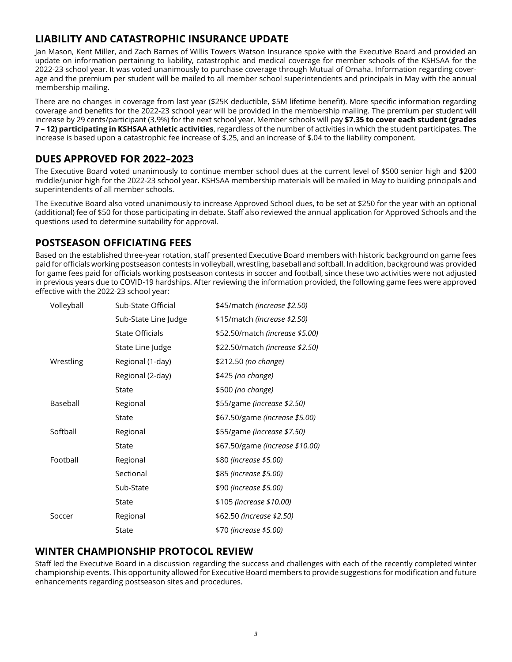# **LIABILITY AND CATASTROPHIC INSURANCE UPDATE**

Jan Mason, Kent Miller, and Zach Barnes of Willis Towers Watson Insurance spoke with the Executive Board and provided an update on information pertaining to liability, catastrophic and medical coverage for member schools of the KSHSAA for the 2022-23 school year. It was voted unanimously to purchase coverage through Mutual of Omaha. Information regarding coverage and the premium per student will be mailed to all member school superintendents and principals in May with the annual membership mailing.

There are no changes in coverage from last year (\$25K deductible, \$5M lifetime benefit). More specific information regarding coverage and benefits for the 2022-23 school year will be provided in the membership mailing. The premium per student will increase by 29 cents/participant (3.9%) for the next school year. Member schools will pay **\$7.35 to cover each student (grades 7 – 12) participating in KSHSAA athletic activities**, regardless of the number of activities in which the student participates. The increase is based upon a catastrophic fee increase of \$.25, and an increase of \$.04 to the liability component.

# **DUES APPROVED FOR 2022–2023**

The Executive Board voted unanimously to continue member school dues at the current level of \$500 senior high and \$200 middle/junior high for the 2022-23 school year. KSHSAA membership materials will be mailed in May to building principals and superintendents of all member schools.

The Executive Board also voted unanimously to increase Approved School dues, to be set at \$250 for the year with an optional (additional) fee of \$50 for those participating in debate. Staff also reviewed the annual application for Approved Schools and the questions used to determine suitability for approval.

# **POSTSEASON OFFICIATING FEES**

Based on the established three-year rotation, staff presented Executive Board members with historic background on game fees paid for officials working postseason contests in volleyball, wrestling, baseball and softball. In addition, background was provided for game fees paid for officials working postseason contests in soccer and football, since these two activities were not adjusted in previous years due to COVID-19 hardships. After reviewing the information provided, the following game fees were approved effective with the 2022-23 school year:

| Volleyball | Sub-State Official     | \$45/match <i>(increase \$2.50)</i>    |
|------------|------------------------|----------------------------------------|
|            | Sub-State Line Judge   | \$15/match <i>(increase \$2.50)</i>    |
|            | <b>State Officials</b> | \$52.50/match <i>(increase \$5.00)</i> |
|            | State Line Judge       | \$22.50/match (increase \$2.50)        |
| Wrestling  | Regional (1-day)       | \$212.50 (no change)                   |
|            | Regional (2-day)       | \$425 (no change)                      |
|            | State                  | \$500 (no change)                      |
| Baseball   | Regional               | \$55/game (increase \$2.50)            |
|            | State                  | \$67.50/game (increase \$5.00)         |
| Softball   | Regional               | \$55/game (increase \$7.50)            |
|            | State                  | \$67.50/game (increase \$10.00)        |
| Football   | Regional               | \$80 (increase \$5.00)                 |
|            | Sectional              | \$85 (increase \$5.00)                 |
|            | Sub-State              | \$90 (increase \$5.00)                 |
|            | State                  | \$105 (increase \$10.00)               |
| Soccer     | Regional               | \$62.50 (increase \$2.50)              |
|            | State                  | \$70 (increase \$5.00)                 |

## **WINTER CHAMPIONSHIP PROTOCOL REVIEW**

Staff led the Executive Board in a discussion regarding the success and challenges with each of the recently completed winter championship events. This opportunity allowed for Executive Board members to provide suggestions for modification and future enhancements regarding postseason sites and procedures.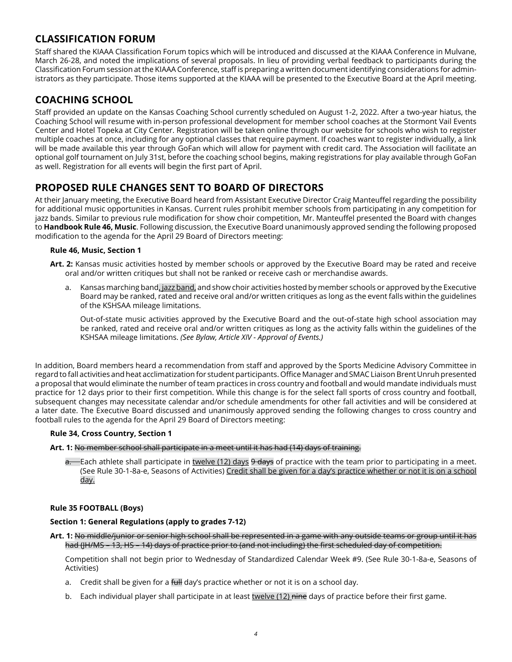# **CLASSIFICATION FORUM**

Staff shared the KIAAA Classification Forum topics which will be introduced and discussed at the KIAAA Conference in Mulvane, March 26-28, and noted the implications of several proposals. In lieu of providing verbal feedback to participants during the Classification Forum session at the KIAAA Conference, staff is preparing a written document identifying considerations for administrators as they participate. Those items supported at the KIAAA will be presented to the Executive Board at the April meeting.

## **COACHING SCHOOL**

Staff provided an update on the Kansas Coaching School currently scheduled on August 1-2, 2022. After a two-year hiatus, the Coaching School will resume with in-person professional development for member school coaches at the Stormont Vail Events Center and Hotel Topeka at City Center. Registration will be taken online through our website for schools who wish to register multiple coaches at once, including for any optional classes that require payment. If coaches want to register individually, a link will be made available this year through GoFan which will allow for payment with credit card. The Association will facilitate an optional golf tournament on July 31st, before the coaching school begins, making registrations for play available through GoFan as well. Registration for all events will begin the first part of April.

## **PROPOSED RULE CHANGES SENT TO BOARD OF DIRECTORS**

At their January meeting, the Executive Board heard from Assistant Executive Director Craig Manteuffel regarding the possibility for additional music opportunities in Kansas. Current rules prohibit member schools from participating in any competition for jazz bands. Similar to previous rule modification for show choir competition, Mr. Manteuffel presented the Board with changes to **Handbook Rule 46, Music**. Following discussion, the Executive Board unanimously approved sending the following proposed modification to the agenda for the April 29 Board of Directors meeting:

### **Rule 46, Music, Section 1**

- **Art. 2:** Kansas music activities hosted by member schools or approved by the Executive Board may be rated and receive oral and/or written critiques but shall not be ranked or receive cash or merchandise awards.
	- a. Kansas marching band, jazz band, and show choir activities hosted by member schools or approved by the Executive Board may be ranked, rated and receive oral and/or written critiques as long as the event falls within the guidelines of the KSHSAA mileage limitations.

Out-of-state music activities approved by the Executive Board and the out-of-state high school association may be ranked, rated and receive oral and/or written critiques as long as the activity falls within the guidelines of the KSHSAA mileage limitations. *(See Bylaw, Article XIV - Approval of Events.)*

In addition, Board members heard a recommendation from staff and approved by the Sports Medicine Advisory Committee in regard to fall activities and heat acclimatization for student participants. Office Manager and SMAC Liaison Brent Unruh presented a proposal that would eliminate the number of team practices in cross country and football and would mandate individuals must practice for 12 days prior to their first competition. While this change is for the select fall sports of cross country and football, subsequent changes may necessitate calendar and/or schedule amendments for other fall activities and will be considered at a later date. The Executive Board discussed and unanimously approved sending the following changes to cross country and football rules to the agenda for the April 29 Board of Directors meeting:

### **Rule 34, Cross Country, Section 1**

**Art. 1:** No member school shall participate in a meet until it has had (14) days of training.

 $a.$  Each athlete shall participate in twelve (12) days  $9$  days of practice with the team prior to participating in a meet. (See Rule 30-1-8a-e, Seasons of Activities) Credit shall be given for a day's practice whether or not it is on a school day.

### **Rule 35 FOOTBALL (Boys)**

### **Section 1: General Regulations (apply to grades 7-12)**

**Art. 1:** No middle/junior or senior high school shall be represented in a game with any outside teams or group until it has had (JH/MS – 13, HS – 14) days of practice prior to (and not including) the first scheduled day of competition.

Competition shall not begin prior to Wednesday of Standardized Calendar Week #9. (See Rule 30-1-8a-e, Seasons of Activities)

- a. Credit shall be given for a full day's practice whether or not it is on a school day.
- b. Each individual player shall participate in at least twelve (12) nine days of practice before their first game.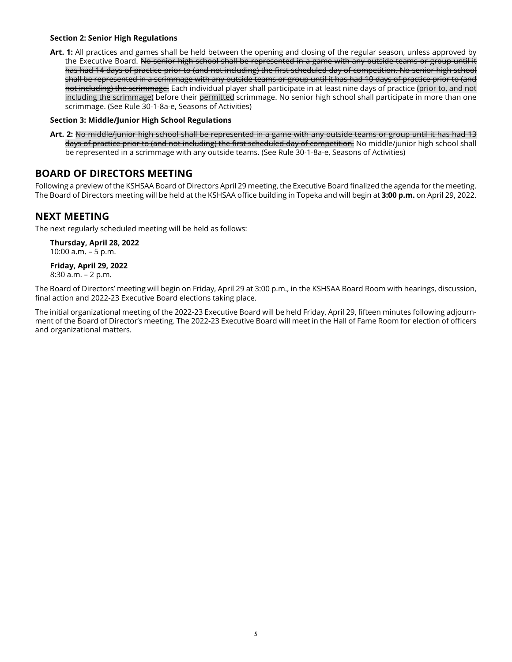### **Section 2: Senior High Regulations**

**Art. 1:** All practices and games shall be held between the opening and closing of the regular season, unless approved by the Executive Board. No senior high school shall be represented in a game with any outside teams or group until it has had 14 days of practice prior to (and not including) the first scheduled day of competition. No senior high school shall be represented in a scrimmage with any outside teams or group until it has had 10 days of practice prior to (and not including) the scrimmage. Each individual player shall participate in at least nine days of practice (prior to, and not including the scrimmage) before their permitted scrimmage. No senior high school shall participate in more than one scrimmage. (See Rule 30-1-8a-e, Seasons of Activities)

### **Section 3: Middle/Junior High School Regulations**

**Art. 2:** No middle/junior high school shall be represented in a game with any outside teams or group until it has had 13 days of practice prior to (and not including) the first scheduled day of competition. No middle/junior high school shall be represented in a scrimmage with any outside teams. (See Rule 30-1-8a-e, Seasons of Activities)

### **BOARD OF DIRECTORS MEETING**

Following a preview of the KSHSAA Board of Directors April 29 meeting, the Executive Board finalized the agenda for the meeting. The Board of Directors meeting will be held at the KSHSAA office building in Topeka and will begin at **3:00 p.m.** on April 29, 2022.

### **NEXT MEETING**

The next regularly scheduled meeting will be held as follows:

**Thursday, April 28, 2022** 10:00 a.m. – 5 p.m.

**Friday, April 29, 2022** 8:30 a.m. – 2 p.m.

The Board of Directors' meeting will begin on Friday, April 29 at 3:00 p.m., in the KSHSAA Board Room with hearings, discussion, final action and 2022-23 Executive Board elections taking place.

The initial organizational meeting of the 2022-23 Executive Board will be held Friday, April 29, fifteen minutes following adjournment of the Board of Director's meeting. The 2022-23 Executive Board will meet in the Hall of Fame Room for election of officers and organizational matters.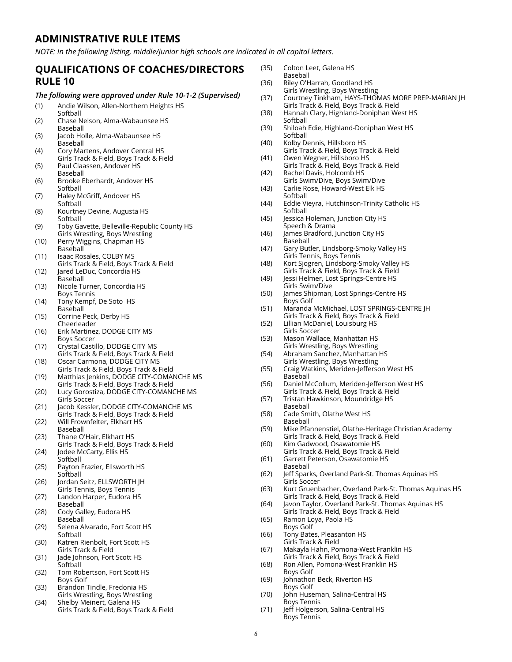### **ADMINISTRATIVE RULE ITEMS**

*NOTE: In the following listing, middle/junior high schools are indicated in all capital letters.* 

### **QUALIFICATIONS OF COACHES/DIRECTORS RULE 10**

#### *The following were approved under Rule 10-1-2 (Supervised)*

- (1) Andie Wilson, Allen-Northern Heights HS
- Softhall (2) Chase Nelson, Alma-Wabaunsee HS Baseball
- (3) Jacob Holle, Alma-Wabaunsee HS Baseball
- (4) Cory Martens, Andover Central HS Girls Track & Field, Boys Track & Field
- (5) Paul Claassen, Andover HS Baseball
- (6) Brooke Eberhardt, Andover HS Softball
- (7) Haley McGriff, Andover HS Softball
- (8) Kourtney Devine, Augusta HS Softball
- (9) Toby Gavette, Belleville-Republic County HS Girls Wrestling, Boys Wrestling
- (10) Perry Wiggins, Chapman HS **Baseball**
- (11) Isaac Rosales, COLBY MS Girls Track & Field, Boys Track & Field
- (12) Jared LeDuc, Concordia HS Baseball
- (13) Nicole Turner, Concordia HS Boys Tennis
- (14) Tony Kempf, De Soto HS Baseball
- (15) Corrine Peck, Derby HS Cheerleader
- (16) Erik Martinez, DODGE CITY MS Boys Soccer
- (17) Crystal Castillo, DODGE CITY MS Girls Track & Field, Boys Track & Field
- (18) Oscar Carmona, DODGE CITY MS Girls Track & Field, Boys Track & Field
- (19) Matthias Jenkins, DODGE CITY-COMANCHE MS Girls Track & Field, Boys Track & Field
- (20) Lucy Gorostiza, DODGE CITY-COMANCHE MS Girls Soccer
- (21) Jacob Kessler, DODGE CITY-COMANCHE MS Girls Track & Field, Boys Track & Field
- (22) Will Frownfelter, Elkhart HS
- Baseball (23) Thane O'Hair, Elkhart HS
- Girls Track & Field, Boys Track & Field (24) Jodee McCarty, Ellis HS
- **Softball** (25) Payton Frazier, Ellsworth HS
- **Softball** (26) Jordan Seitz, ELLSWORTH JH
- Girls Tennis, Boys Tennis
- (27) Landon Harper, Eudora HS Baseball
- (28) Cody Galley, Eudora HS Baseball
- (29) Selena Alvarado, Fort Scott HS Softball
- (30) Katren Rienbolt, Fort Scott HS Girls Track & Field
- (31) Jade Johnson, Fort Scott HS Softball
- (32) Tom Robertson, Fort Scott HS Boys Golf
- (33) Brandon Tindle, Fredonia HS Girls Wrestling, Boys Wrestling
- (34) Shelby Meinert, Galena HS Girls Track & Field, Boys Track & Field
- (35) Colton Leet, Galena HS Baseball
- (36) Riley O'Harrah, Goodland HS Girls Wrestling, Boys Wrestling
- (37) Courtney Tinkham, HAYS-THOMAS MORE PREP-MARIAN JH Girls Track & Field, Boys Track & Field
- (38) Hannah Clary, Highland-Doniphan West HS Softball
- (39) Shiloah Edie, Highland-Doniphan West HS Softball
- (40) Kolby Dennis, Hillsboro HS Girls Track & Field, Boys Track & Field
- (41) Owen Wegner, Hillsboro HS Girls Track & Field, Boys Track & Field
- (42) Rachel Davis, Holcomb HS Girls Swim/Dive, Boys Swim/Dive
- (43) Carlie Rose, Howard-West Elk HS Softball
- (44) Eddie Vieyra, Hutchinson-Trinity Catholic HS Softball
- (45) Jessica Holeman, Junction City HS Speech & Drama
- (46) James Bradford, Junction City HS Baseball
- (47) Gary Butler, Lindsborg-Smoky Valley HS Girls Tennis, Boys Tennis
- (48) Kort Sjogren, Lindsborg-Smoky Valley HS Girls Track & Field, Boys Track & Field
- (49) Jessi Helmer, Lost Springs-Centre HS Girls Swim/Dive
- (50) James Shipman, Lost Springs-Centre HS Boys Golf
- (51) Maranda McMichael, LOST SPRINGS-CENTRE JH Girls Track & Field, Boys Track & Field
- (52) Lillian McDaniel, Louisburg HS Girls Soccer
- (53) Mason Wallace, Manhattan HS Girls Wrestling, Boys Wrestling
- (54) Abraham Sanchez, Manhattan HS Girls Wrestling, Boys Wrestling
- (55) Craig Watkins, Meriden-Jefferson West HS Baseball
- (56) Daniel McCollum, Meriden-Jefferson West HS Girls Track & Field, Boys Track & Field
- (57) Tristan Hawkinson, Moundridge HS
- Baseball (58) Cade Smith, Olathe West HS
- Baseball
- (59) Mike Pfannenstiel, Olathe-Heritage Christian Academy Girls Track & Field, Boys Track & Field
- (60) Kim Gadwood, Osawatomie HS Girls Track & Field, Boys Track & Field
- (61) Garrett Peterson, Osawatomie HS Baseball
- (62) Jeff Sparks, Overland Park-St. Thomas Aquinas HS Girls Soccer
- (63) Kurt Gruenbacher, Overland Park-St. Thomas Aquinas HS Girls Track & Field, Boys Track & Field
- (64) Javon Taylor, Overland Park-St. Thomas Aquinas HS Girls Track & Field, Boys Track & Field
- (65) Ramon Loya, Paola HS Boys Golf
- (66) Tony Bates, Pleasanton HS Girls Track & Field
- (67) Makayla Hahn, Pomona-West Franklin HS
- Girls Track & Field, Boys Track & Field (68) Ron Allen, Pomona-West Franklin HS
- Boys Golf (69) Johnathon Beck, Riverton HS
- Boys Golf (70) John Huseman, Salina-Central HS
- Boys Tennis
- (71) Jeff Holgerson, Salina-Central HS Boys Tennis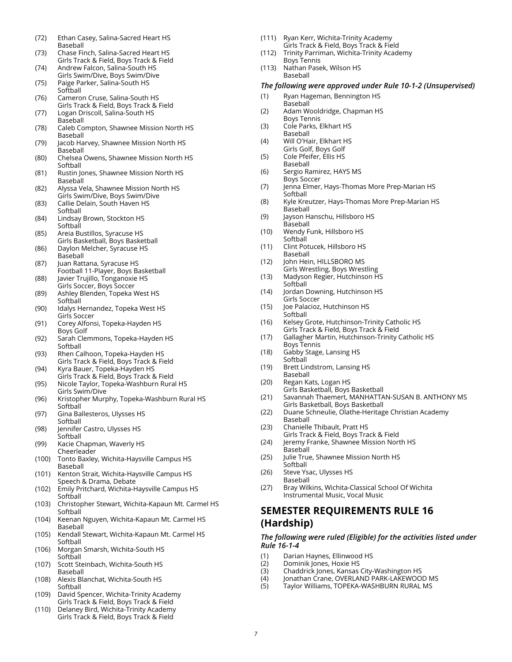- (72) Ethan Casey, Salina-Sacred Heart HS Baseball
- (73) Chase Finch, Salina-Sacred Heart HS Girls Track & Field, Boys Track & Field
- (74) Andrew Falcon, Salina-South HS Girls Swim/Dive, Boys Swim/Dive (75) Paige Parker, Salina-South HS
- Softball
- (76) Cameron Cruse, Salina-South HS Girls Track & Field, Boys Track & Field
- (77) Logan Driscoll, Salina-South HS Baseball
- (78) Caleb Compton, Shawnee Mission North HS Baseball
- (79) Jacob Harvey, Shawnee Mission North HS Baseball
- (80) Chelsea Owens, Shawnee Mission North HS Softball
- (81) Rustin Jones, Shawnee Mission North HS Baseball
- (82) Alyssa Vela, Shawnee Mission North HS Girls Swim/Dive, Boys Swim/Dive
- (83) Callie Delain, South Haven HS Softball
- (84) Lindsay Brown, Stockton HS **Softball**
- (85) Areia Bustillos, Syracuse HS Girls Basketball, Boys Basketball
- (86) Daylon Melcher, Syracuse HS Baseball
- (87) Juan Rattana, Syracuse HS Football 11-Player, Boys Basketball
- (88) Javier Trujillo, Tonganoxie HS Girls Soccer, Boys Soccer
- (89) Ashley Blenden, Topeka West HS **Softball**
- (90) Idalys Hernandez, Topeka West HS Girls Soccer
- (91) Corey Alfonsi, Topeka-Hayden HS Boys Golf
- (92) Sarah Clemmons, Topeka-Hayden HS Softball
- (93) Rhen Calhoon, Topeka-Hayden HS Girls Track & Field, Boys Track & Field
- (94) Kyra Bauer, Topeka-Hayden HS Girls Track & Field, Boys Track & Field
- (95) Nicole Taylor, Topeka-Washburn Rural HS Girls Swim/Dive
- (96) Kristopher Murphy, Topeka-Washburn Rural HS **Softball**
- (97) Gina Ballesteros, Ulysses HS Softball
- (98) Jennifer Castro, Ulysses HS Softball
- (99) Kacie Chapman, Waverly HS Cheerleader
- (100) Tonto Baxley, Wichita-Haysville Campus HS Baseball
- (101) Kenton Strait, Wichita-Haysville Campus HS Speech & Drama, Debate
- (102) Emily Pritchard, Wichita-Haysville Campus HS **Softball**
- (103) Christopher Stewart, Wichita-Kapaun Mt. Carmel HS **Softball**
- (104) Keenan Nguyen, Wichita-Kapaun Mt. Carmel HS Baseball
- (105) Kendall Stewart, Wichita-Kapaun Mt. Carmel HS Softball
- (106) Morgan Smarsh, Wichita-South HS **Softball**
- (107) Scott Steinbach, Wichita-South HS Baseball
- (108) Alexis Blanchat, Wichita-South HS Softball
- (109) David Spencer, Wichita-Trinity Academy Girls Track & Field, Boys Track & Field
- (110) Delaney Bird, Wichita-Trinity Academy Girls Track & Field, Boys Track & Field
- (111) Ryan Kerr, Wichita-Trinity Academy Girls Track & Field, Boys Track & Field
- (112) Trinity Parriman, Wichita-Trinity Academy
- Boys Tennis (113) Nathan Pasek, Wilson HS Baseball

#### *The following were approved under Rule 10-1-2 (Unsupervised)*

- (1) Ryan Hageman, Bennington HS Baseball
- (2) Adam Wooldridge, Chapman HS Boys Tennis
- (3) Cole Parks, Elkhart HS Baseball
- (4) Will O'Hair, Elkhart HS Girls Golf, Boys Golf
- (5) Cole Pfeifer, Ellis HS
- Baseball (6) Sergio Ramirez, HAYS MS
- Boys Soccer
- (7) Jenna Elmer, Hays-Thomas More Prep-Marian HS **Softball**
- (8) Kyle Kreutzer, Hays-Thomas More Prep-Marian HS Baseball
- (9) Jayson Hanschu, Hillsboro HS Baseball
- (10) Wendy Funk, Hillsboro HS **Softball**
- (11) Clint Potucek, Hillsboro HS Baseball
- (12) John Hein, HILLSBORO MS Girls Wrestling, Boys Wrestling
- (13) Madyson Regier, Hutchinson HS **Softball**
- (14) Jordan Downing, Hutchinson HS Girls Soccer
- (15) Joe Palacioz, Hutchinson HS Softball
- (16) Kelsey Grote, Hutchinson-Trinity Catholic HS Girls Track & Field, Boys Track & Field
- (17) Gallagher Martin, Hutchinson-Trinity Catholic HS Boys Tennis
- (18) Gabby Stage, Lansing HS **Softball**
- (19) Brett Lindstrom, Lansing HS Baseball
- (20) Regan Kats, Logan HS Girls Basketball, Boys Basketball
- (21) Savannah Thaemert, MANHATTAN-SUSAN B. ANTHONY MS Girls Basketball, Boys Basketball
- (22) Duane Schneulie, Olathe-Heritage Christian Academy Baseball
- (23) Chanielle Thibault, Pratt HS Girls Track & Field, Boys Track & Field
- (24) Jeremy Franke, Shawnee Mission North HS Baseball
- (25) Julie True, Shawnee Mission North HS Softball
- (26) Steve Ysac, Ulysses HS Baseball
- (27) Bray Wilkins, Wichita-Classical School Of Wichita Instrumental Music, Vocal Music

## **SEMESTER REQUIREMENTS RULE 16 (Hardship)**

#### *The following were ruled (Eligible) for the activities listed under Rule 16-1-4*

- (1) Darian Haynes, Ellinwood HS
- (2) Dominik Jones, Hoxie HS
- (3) Chaddrick Jones, Kansas City-Washington HS
- (4) Jonathan Crane, OVERLAND PARK-LAKEWOOD MS
- (5) Taylor Williams, TOPEKA-WASHBURN RURAL MS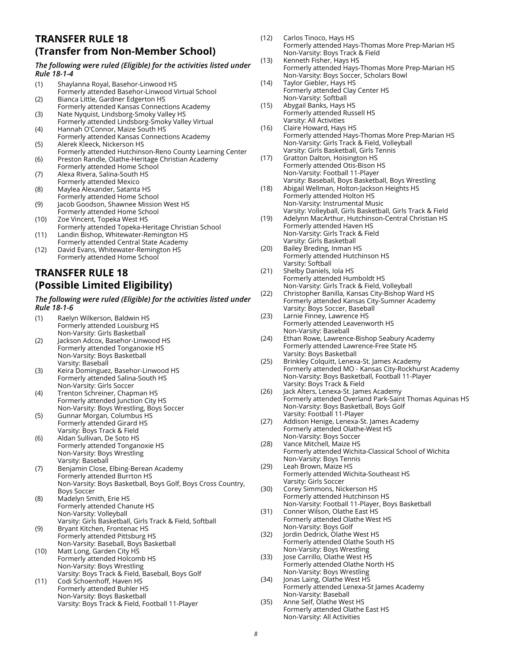## **TRANSFER RULE 18 (Transfer from Non-Member School)**

### *The following were ruled (Eligible) for the activities listed under Rule 18-1-4*

- (1) Shaylanna Royal, Basehor-Linwood HS Formerly attended Basehor-Linwood Virtual School (2) Bianca Little, Gardner Edgerton HS
- Formerly attended Kansas Connections Academy (3) Nate Nyquist, Lindsborg-Smoky Valley HS
- Formerly attended Lindsborg-Smoky Valley Virtual (4) Hannah O'Connor, Maize South HS
- Formerly attended Kansas Connections Academy (5) Alerek Kleeck, Nickerson HS
- Formerly attended Hutchinson-Reno County Learning Center (6) Preston Randle, Olathe-Heritage Christian Academy
- Formerly attended Home School (7) Alexa Rivera, Salina-South HS
- Formerly attended Mexico (8) Maylea Alexander, Satanta HS
- Formerly attended Home School (9) Jacob Goodson, Shawnee Mission West HS
- Formerly attended Home School (10) Zoe Vincent, Topeka West HS Formerly attended Topeka-Heritage Christian School
- (11) Landin Bishop, Whitewater-Remington HS Formerly attended Central State Academy
- (12) David Evans, Whitewater-Remington HS Formerly attended Home School

# **TRANSFER RULE 18 (Possible Limited Eligibility)**

*The following were ruled (Eligible) for the activities listed under Rule 18-1-6*

| (1)  | Raelyn Wilkerson, Baldwin HS                                 |
|------|--------------------------------------------------------------|
|      | Formerly attended Louisburg HS                               |
|      | Non-Varsity: Girls Basketball                                |
| (2)  | Jackson Adcox, Basehor-Linwood HS                            |
|      | Formerly attended Tonganoxie HS                              |
|      | Non-Varsity: Boys Basketball                                 |
|      | Varsity: Baseball                                            |
| (3)  | Keira Dominguez, Basehor-Linwood HS                          |
|      | Formerly attended Salina-South HS                            |
|      | Non-Varsity: Girls Soccer                                    |
| (4)  | Trenton Schreiner, Chapman HS                                |
|      | Formerly attended Junction City HS                           |
|      | Non-Varsity: Boys Wrestling, Boys Soccer                     |
| (5)  | Gunnar Morgan, Columbus HS                                   |
|      | Formerly attended Girard HS                                  |
|      | Varsity: Boys Track & Field                                  |
| (6)  | Aldan Sullivan, De Soto HS                                   |
|      | Formerly attended Tonganoxie HS                              |
|      | Non-Varsity: Boys Wrestling                                  |
|      | Varsity: Baseball                                            |
| (7)  | Benjamin Close, Elbing-Berean Academy                        |
|      | Formerly attended Burrton HS                                 |
|      | Non-Varsity: Boys Basketball, Boys Golf, Boys Cross Country, |
|      | <b>Boys Soccer</b>                                           |
| (8)  | Madelyn Smith, Erie HS                                       |
|      | Formerly attended Chanute HS                                 |
|      | Non-Varsity: Volleyball                                      |
|      | Varsity: Girls Basketball, Girls Track & Field, Softball     |
| (9)  | Bryant Kitchen, Frontenac HS                                 |
|      | Formerly attended Pittsburg HS                               |
|      | Non-Varsity: Baseball, Boys Basketball                       |
| (10) | Matt Long, Garden City HS                                    |
|      | Formerly attended Holcomb HS                                 |
|      | Non-Varsity: Boys Wrestling                                  |
|      | Varsity: Boys Track & Field, Baseball, Boys Golf             |
| (11) | Codi Schoenhoff, Haven HS                                    |
|      | Formerly attended Buhler HS                                  |
|      | Non-Varsity: Boys Basketball                                 |
|      | Varsity: Boys Track & Field, Football 11-Player              |

|      | Formerly attended Hays-Thomas More Prep-Marian HS                                |
|------|----------------------------------------------------------------------------------|
| (13) | Non-Varsity: Boys Track & Field<br>Kenneth Fisher, Hays HS                       |
|      | Formerly attended Hays-Thomas More Prep-Marian HS                                |
|      | Non-Varsity: Boys Soccer, Scholars Bowl                                          |
| (14) | Taylor Giebler, Hays HS                                                          |
|      | Formerly attended Clay Center HS                                                 |
|      | Non-Varsity: Softball                                                            |
| (15) | Abygail Banks, Hays HS<br>Formerly attended Russell HS                           |
|      | Varsity: All Activities                                                          |
| (16) | Claire Howard, Hays HS                                                           |
|      | Formerly attended Hays-Thomas More Prep-Marian HS                                |
|      | Non-Varsity: Girls Track & Field, Volleyball                                     |
|      | Varsity: Girls Basketball, Girls Tennis                                          |
| (17) | Gratton Dalton, Hoisington HS<br>Formerly attended Otis-Bison HS                 |
|      | Non-Varsity: Football 11-Player                                                  |
|      | Varsity: Baseball, Boys Basketball, Boys Wrestling                               |
| (18) | Abigail Wellman, Holton-Jackson Heights HS                                       |
|      | Formerly attended Holton HS                                                      |
|      | Non-Varsity: Instrumental Music                                                  |
|      | Varsity: Volleyball, Girls Basketball, Girls Track & Field                       |
| (19) | Adelynn MacArthur, Hutchinson-Central Christian HS<br>Formerly attended Haven HS |
|      | Non-Varsity: Girls Track & Field                                                 |
|      | Varsity: Girls Basketball                                                        |
| (20) | Bailey Breding, Inman HS                                                         |
|      | Formerly attended Hutchinson HS                                                  |
|      | Varsity: Softball                                                                |
| (21) | Shelby Daniels, Iola HS                                                          |
|      | Formerly attended Humboldt HS<br>Non-Varsity: Girls Track & Field, Volleyball    |
| (22) | Christopher Banilla, Kansas City-Bishop Ward HS                                  |
|      | Formerly attended Kansas City-Sumner Academy                                     |
|      | Varsity: Boys Soccer, Baseball                                                   |
| (23) | Larnie Finney, Lawrence HS                                                       |
|      | Formerly attended Leavenworth HS                                                 |
| (24) | Non-Varsity: Baseball<br>Ethan Rowe, Lawrence-Bishop Seabury Academy             |
|      | Formerly attended Lawrence-Free State HS                                         |
|      | Varsity: Boys Basketball                                                         |
| (25) | Brinkley Colquitt, Lenexa-St. James Academy                                      |
|      | Formerly attended MO - Kansas City-Rockhurst Academy                             |
|      | Non-Varsity: Boys Basketball, Football 11-Player<br>Varsity: Boys Track & Field  |
| (26) | Jack Alters, Lenexa-St. James Academy                                            |
|      | Formerly attended Overland Park-Saint Thomas Aquinas HS                          |
|      | Non-Varsity: Boys Basketball, Boys Golf                                          |
|      | Varsity: Football 11-Player                                                      |
| (27) | Addison Henige, Lenexa-St. James Academy                                         |
|      | Formerly attended Olathe-West HS                                                 |
| (28) | Non-Varsity: Boys Soccer<br>Vance Mitchell, Maize HS                             |
|      | Formerly attended Wichita-Classical School of Wichita                            |
|      | Non-Varsity: Boys Tennis                                                         |
| (29) | Leah Brown, Maize HS                                                             |
|      | Formerly attended Wichita-Southeast HS                                           |
| (30) | Varsity: Girls Soccer<br>Corey Simmons, Nickerson HS                             |
|      | Formerly attended Hutchinson HS                                                  |
|      | Non-Varsity: Football 11-Player, Boys Basketball                                 |
| (31) | Conner Wilson, Olathe East HS                                                    |
|      | Formerly attended Olathe West HS                                                 |
|      | Non-Varsity: Boys Golf                                                           |
| (32) | Jordin Dedrick, Olathe West HS<br>Formerly attended Olathe South HS              |
|      | Non-Varsity: Boys Wrestling                                                      |
| (33) | Jose Carrillo, Olathe West HS                                                    |
|      | Formerly attended Olathe North HS                                                |
|      | Non-Varsity: Boys Wrestling                                                      |
| (34) | Jonas Laing, Olathe West HS                                                      |
|      | Formerly attended Lenexa-St James Academy                                        |
| (35) | Non-Varsity: Baseball<br>Anne Self, Olathe West HS                               |
|      | Formerly attended Olathe East HS                                                 |
|      | Non-Varsity: All Activities                                                      |

(12) Carlos Tinoco, Hays HS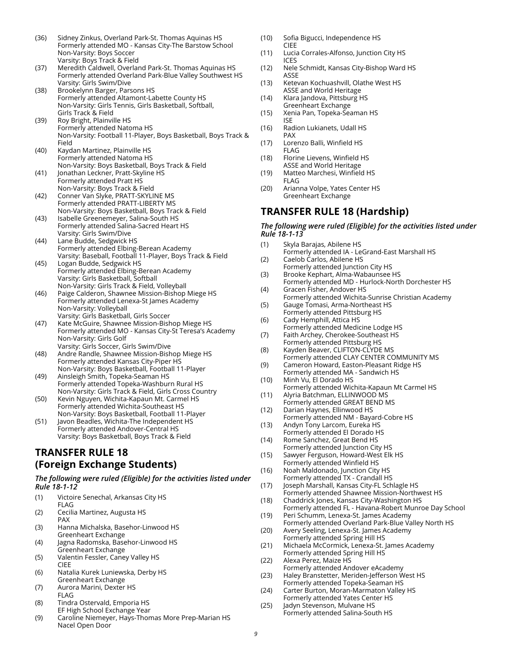- (36) Sidney Zinkus, Overland Park-St. Thomas Aquinas HS Formerly attended MO - Kansas City-The Barstow School Non-Varsity: Boys Soccer Varsity: Boys Track & Field
- (37) Meredith Caldwell, Overland Park-St. Thomas Aquinas HS Formerly attended Overland Park-Blue Valley Southwest HS Varsity: Girls Swim/Dive
- (38) Brookelynn Barger, Parsons HS Formerly attended Altamont-Labette County HS Non-Varsity: Girls Tennis, Girls Basketball, Softball, Girls Track & Field
- (39) Roy Bright, Plainville HS Formerly attended Natoma HS Non-Varsity: Football 11-Player, Boys Basketball, Boys Track & Field
- (40) Kaydan Martinez, Plainville HS Formerly attended Natoma HS Non-Varsity: Boys Basketball, Boys Track & Field (41) Jonathan Leckner, Pratt-Skyline HS
- Formerly attended Pratt HS Non-Varsity: Boys Track & Field
- (42) Conner Van Slyke, PRATT-SKYLINE MS Formerly attended PRATT-LIBERTY MS Non-Varsity: Boys Basketball, Boys Track & Field
- (43) Isabelle Greenemeyer, Salina-South HS Formerly attended Salina-Sacred Heart HS Varsity: Girls Swim/Dive
- (44) Lane Budde, Sedgwick HS Formerly attended Elbing-Berean Academy Varsity: Baseball, Football 11-Player, Boys Track & Field
- (45) Logan Budde, Sedgwick HS Formerly attended Elbing-Berean Academy Varsity: Girls Basketball, Softball Non-Varsity: Girls Track & Field, Volleyball
- (46) Paige Calderon, Shawnee Mission-Bishop Miege HS Formerly attended Lenexa-St James Academy Non-Varsity: Volleyball Varsity: Girls Basketball, Girls Soccer
- (47) Kate McGuire, Shawnee Mission-Bishop Miege HS Formerly attended MO - Kansas City-St Teresa's Academy Non-Varsity: Girls Golf Varsity: Girls Soccer, Girls Swim/Dive
- (48) Andre Randle, Shawnee Mission-Bishop Miege HS Formerly attended Kansas City-Piper HS Non-Varsity: Boys Basketball, Football 11-Player
- (49) Ainsleigh Smith, Topeka-Seaman HS Formerly attended Topeka-Washburn Rural HS Non-Varsity: Girls Track & Field, Girls Cross Country
- (50) Kevin Nguyen, Wichita-Kapaun Mt. Carmel HS Formerly attended Wichita-Southeast HS Non-Varsity: Boys Basketball, Football 11-Player
- (51) Javon Beadles, Wichita-The Independent HS Formerly attended Andover-Central HS Varsity: Boys Basketball, Boys Track & Field

### **TRANSFER RULE 18 (Foreign Exchange Students)**

### *The following were ruled (Eligible) for the activities listed under Rule 18-1-12*

- (1) Victoire Senechal, Arkansas City HS FLAG (2) Cecilia Martinez, Augusta HS PAX
- (3) Hanna Michalska, Basehor-Linwood HS Greenheart Exchange
- (4) Jagna Radomska, Basehor-Linwood HS Greenheart Exchange
- (5) Valentin Fessler, Caney Valley HS CIEE
- (6) Natalia Kurek Luniewska, Derby HS Greenheart Exchange
- (7) Aurora Marini, Dexter HS FLAG
- (8) Tindra Ostervald, Emporia HS EF High School Exchange Year
- (9) Caroline Niemeyer, Hays-Thomas More Prep-Marian HS Nacel Open Door
- (10) Sofia Bigucci, Independence HS CIEE
- (11) Lucia Corrales-Alfonso, Junction City HS ICES
- (12) Nele Schmidt, Kansas City-Bishop Ward HS ASSE
- (13) Ketevan Kochuashvill, Olathe West HS ASSE and World Heritage
- (14) Klara Jandova, Pittsburg HS Greenheart Exchange
- (15) Xenia Pan, Topeka-Seaman HS ISE
- (16) Radion Lukianets, Udall HS PAX
- (17) Lorenzo Balli, Winfield HS FLAG
- (18) Florine Lievens, Winfield HS ASSE and World Heritage
- (19) Matteo Marchesi, Winfield HS FLAG
- (20) Arianna Volpe, Yates Center HS Greenheart Exchange

# **TRANSFER RULE 18 (Hardship)**

#### *The following were ruled (Eligible) for the activities listed under Rule 18-1-13*

- (1) Skyla Barajas, Abilene HS Formerly attended IA - LeGrand-East Marshall HS (2) Caelob Carlos, Abilene HS Formerly attended Junction City HS (3) Brooke Kephart, Alma-Wabaunsee HS Formerly attended MD - Hurlock-North Dorchester HS (4) Gracen Fisher, Andover HS Formerly attended Wichita-Sunrise Christian Academy (5) Gauge Tomasi, Arma-Northeast HS Formerly attended Pittsburg HS (6) Cady Hemphill, Attica HS Formerly attended Medicine Lodge HS (7) Faith Archey, Cherokee-Southeast HS Formerly attended Pittsburg HS (8) Kayden Beaver, CLIFTON-CLYDE MS Formerly attended CLAY CENTER COMMUNITY MS (9) Cameron Howard, Easton-Pleasant Ridge HS Formerly attended MA - Sandwich HS (10) Minh Vu, El Dorado HS Formerly attended Wichita-Kapaun Mt Carmel HS (11) Alyria Batchman, ELLINWOOD MS Formerly attended GREAT BEND MS (12) Darian Haynes, Ellinwood HS Formerly attended NM - Bayard-Cobre HS (13) Andyn Tony Larcom, Eureka HS Formerly attended El Dorado HS (14) Rome Sanchez, Great Bend HS Formerly attended Junction City HS (15) Sawyer Ferguson, Howard-West Elk HS Formerly attended Winfield HS (16) Noah Maldonado, Junction City HS Formerly attended TX - Crandall HS (17) Joseph Marshall, Kansas City-FL Schlagle HS Formerly attended Shawnee Mission-Northwest HS (18) Chaddrick Jones, Kansas City-Washington HS Formerly attended FL - Havana-Robert Munroe Day School (19) Peri Schumm, Lenexa-St. James Academy Formerly attended Overland Park-Blue Valley North HS (20) Avery Seeling, Lenexa-St. James Academy Formerly attended Spring Hill HS (21) Michaela McCormick, Lenexa-St. James Academy Formerly attended Spring Hill HS (22) Alexa Perez, Maize HS
	- Formerly attended Andover eAcademy (23) Haley Branstetter, Meriden-Jefferson West HS
	- Formerly attended Topeka-Seaman HS (24) Carter Burton, Moran-Marmaton Valley HS
	- Formerly attended Yates Center HS (25) Jadyn Stevenson, Mulvane HS Formerly attended Salina-South HS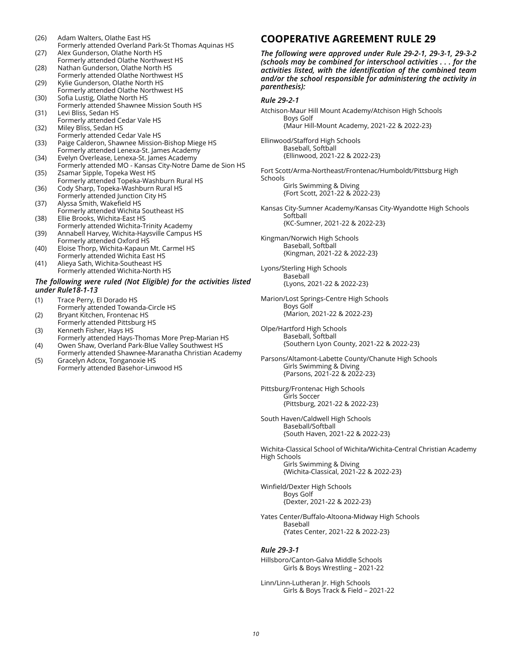- (26) Adam Walters, Olathe East HS Formerly attended Overland Park-St Thomas Aquinas HS (27) Alex Gunderson, Olathe North HS
- Formerly attended Olathe Northwest HS (28) Nathan Gunderson, Olathe North HS
- Formerly attended Olathe Northwest HS (29) Kylie Gunderson, Olathe North HS
- Formerly attended Olathe Northwest HS (30) Sofia Lustig, Olathe North HS
- Formerly attended Shawnee Mission South HS (31) Levi Bliss, Sedan HS
- Formerly attended Cedar Vale HS (32) Miley Bliss, Sedan HS
- Formerly attended Cedar Vale HS (33) Paige Calderon, Shawnee Mission-Bishop Miege HS
- Formerly attended Lenexa-St. James Academy (34) Evelyn Overlease, Lenexa-St. James Academy
- Formerly attended MO Kansas City-Notre Dame de Sion HS (35) Zsamar Sipple, Topeka West HS
- Formerly attended Topeka-Washburn Rural HS (36) Cody Sharp, Topeka-Washburn Rural HS
- Formerly attended Junction City HS (37) Alyssa Smith, Wakefield HS
- Formerly attended Wichita Southeast HS (38) Ellie Brooks, Wichita-East HS
- Formerly attended Wichita-Trinity Academy (39) Annabell Harvey, Wichita-Haysville Campus HS
- Formerly attended Oxford HS (40) Eloise Thorp, Wichita-Kapaun Mt. Carmel HS Formerly attended Wichita East HS
- (41) Alieya Sath, Wichita-Southeast HS Formerly attended Wichita-North HS

#### *The following were ruled (Not Eligible) for the activities listed under Rule18-1-13*

- (1) Trace Perry, El Dorado HS Formerly attended Towanda-Circle HS
- (2) Bryant Kitchen, Frontenac HS Formerly attended Pittsburg HS
- (3) Kenneth Fisher, Hays HS Formerly attended Hays-Thomas More Prep-Marian HS
- (4) Owen Shaw, Overland Park-Blue Valley Southwest HS Formerly attended Shawnee-Maranatha Christian Academy
- (5) Gracelyn Adcox, Tonganoxie HS Formerly attended Basehor-Linwood HS

# **COOPERATIVE AGREEMENT RULE 29**

*The following were approved under Rule 29-2-1, 29-3-1, 29-3-2 (schools may be combined for interschool activities . . . for the activities listed, with the identification of the combined team and/or the school responsible for administering the activity in parenthesis):* 

#### *Rule 29-2-1*

Atchison-Maur Hill Mount Academy/Atchison High Schools Boys Golf {Maur Hill-Mount Academy, 2021-22 & 2022-23}

- Ellinwood/Stafford High Schools Baseball, Softball {Ellinwood, 2021-22 & 2022-23}
- Fort Scott/Arma-Northeast/Frontenac/Humboldt/Pittsburg High Schools

Girls Swimming & Diving {Fort Scott, 2021-22 & 2022-23}

- Kansas City-Sumner Academy/Kansas City-Wyandotte High Schools Softball {KC-Sumner, 2021-22 & 2022-23}
- Kingman/Norwich High Schools Baseball, Softball {Kingman, 2021-22 & 2022-23}
- Lyons/Sterling High Schools Baseball {Lyons, 2021-22 & 2022-23}
- Marion/Lost Springs-Centre High Schools Boys Golf {Marion, 2021-22 & 2022-23}
- Olpe/Hartford High Schools Baseball, Softball {Southern Lyon County, 2021-22 & 2022-23}
- Parsons/Altamont-Labette County/Chanute High Schools Girls Swimming & Diving {Parsons, 2021-22 & 2022-23}
- Pittsburg/Frontenac High Schools Girls Soccer {Pittsburg, 2021-22 & 2022-23}
- South Haven/Caldwell High Schools Baseball/Softball {South Haven, 2021-22 & 2022-23}

Wichita-Classical School of Wichita/Wichita-Central Christian Academy High Schools Girls Swimming & Diving {Wichita-Classical, 2021-22 & 2022-23}

Winfield/Dexter High Schools Boys Golf

{Dexter, 2021-22 & 2022-23}

Yates Center/Buffalo-Altoona-Midway High Schools Baseball {Yates Center, 2021-22 & 2022-23}

### *Rule 29-3-1*

Hillsboro/Canton-Galva Middle Schools Girls & Boys Wrestling – 2021-22

Linn/Linn-Lutheran Jr. High Schools Girls & Boys Track & Field – 2021-22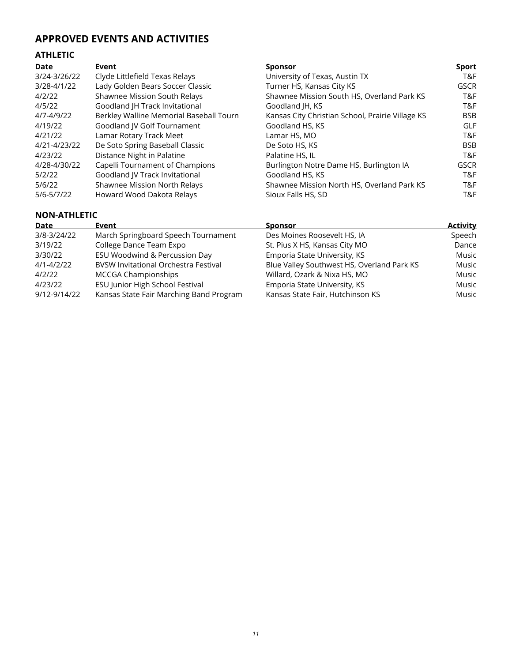# **APPROVED EVENTS AND ACTIVITIES**

## **ATHLETIC**

| <b>Date</b>  | Event                                   | <b>Sponsor</b>                                   | <b>Sport</b> |
|--------------|-----------------------------------------|--------------------------------------------------|--------------|
| 3/24-3/26/22 | Clyde Littlefield Texas Relays          | University of Texas, Austin TX                   | T&F          |
| 3/28-4/1/22  | Lady Golden Bears Soccer Classic        | Turner HS, Kansas City KS                        | <b>GSCR</b>  |
| 4/2/22       | <b>Shawnee Mission South Relays</b>     | Shawnee Mission South HS, Overland Park KS       | T&F          |
| 4/5/22       | Goodland JH Track Invitational          | Goodland JH, KS                                  | T&F          |
| 4/7-4/9/22   | Berkley Walline Memorial Baseball Tourn | Kansas City Christian School, Prairie Village KS | <b>BSB</b>   |
| 4/19/22      | Goodland JV Golf Tournament             | Goodland HS, KS                                  | <b>GLF</b>   |
| 4/21/22      | Lamar Rotary Track Meet                 | Lamar HS, MO                                     | T&F          |
| 4/21-4/23/22 | De Soto Spring Baseball Classic         | De Soto HS, KS                                   | <b>BSB</b>   |
| 4/23/22      | Distance Night in Palatine              | Palatine HS, IL                                  | T&F          |
| 4/28-4/30/22 | Capelli Tournament of Champions         | Burlington Notre Dame HS, Burlington IA          | <b>GSCR</b>  |
| 5/2/22       | Goodland JV Track Invitational          | Goodland HS, KS                                  | T&F          |
| 5/6/22       | Shawnee Mission North Relays            | Shawnee Mission North HS, Overland Park KS       | T&F          |
| 5/6-5/7/22   | Howard Wood Dakota Relays               | Sioux Falls HS, SD                               | T&F          |

### **NON-ATHLETIC**

| Date         | Event                                       | <b>Sponsor</b>                             | <b>Activity</b> |
|--------------|---------------------------------------------|--------------------------------------------|-----------------|
| 3/8-3/24/22  | March Springboard Speech Tournament         | Des Moines Roosevelt HS, IA                | Speech          |
| 3/19/22      | College Dance Team Expo                     | St. Pius X HS, Kansas City MO              | Dance           |
| 3/30/22      | ESU Woodwind & Percussion Day               | Emporia State University, KS               | Music           |
| 4/1-4/2/22   | <b>BVSW Invitational Orchestra Festival</b> | Blue Valley Southwest HS, Overland Park KS | Music           |
| 4/2/22       | <b>MCCGA Championships</b>                  | Willard, Ozark & Nixa HS, MO               | Music           |
| 4/23/22      | ESU Junior High School Festival             | Emporia State University, KS               | Music           |
| 9/12-9/14/22 | Kansas State Fair Marching Band Program     | Kansas State Fair, Hutchinson KS           | Music           |